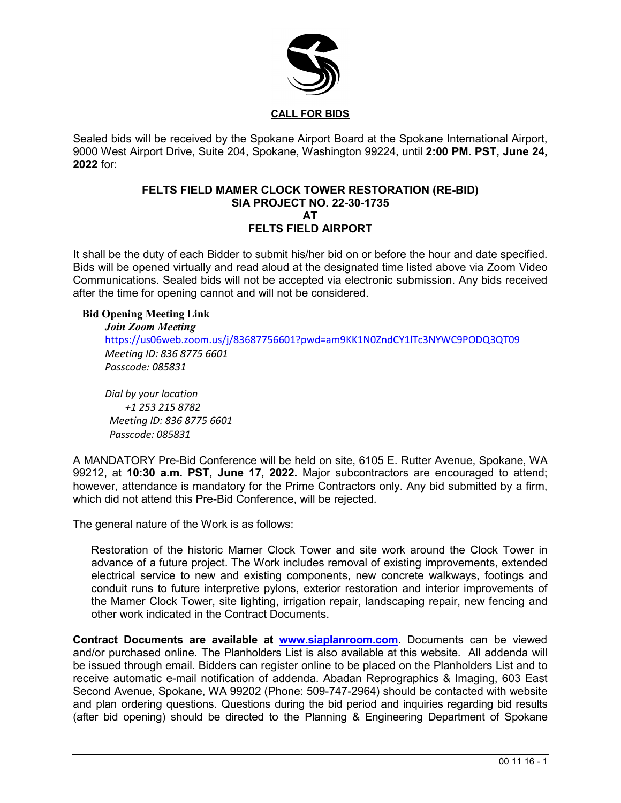

Sealed bids will be received by the Spokane Airport Board at the Spokane International Airport, 9000 West Airport Drive, Suite 204, Spokane, Washington 99224, until **2:00 PM. PST, June 24, 2022** for:

## **FELTS FIELD MAMER CLOCK TOWER RESTORATION (RE-BID) SIA PROJECT NO. 22-30-1735 AT FELTS FIELD AIRPORT**

It shall be the duty of each Bidder to submit his/her bid on or before the hour and date specified. Bids will be opened virtually and read aloud at the designated time listed above via Zoom Video Communications. Sealed bids will not be accepted via electronic submission. Any bids received after the time for opening cannot and will not be considered.

## **Bid Opening Meeting Link**

*Join Zoom Meeting* <https://us06web.zoom.us/j/83687756601?pwd=am9KK1N0ZndCY1lTc3NYWC9PODQ3QT09> *Meeting ID: 836 8775 6601 Passcode: 085831*

*Dial by your location +1 253 215 8782 Meeting ID: 836 8775 6601 Passcode: 085831*

A MANDATORY Pre-Bid Conference will be held on site, 6105 E. Rutter Avenue, Spokane, WA 99212, at **10:30 a.m. PST, June 17, 2022.** Major subcontractors are encouraged to attend; however, attendance is mandatory for the Prime Contractors only. Any bid submitted by a firm, which did not attend this Pre-Bid Conference, will be rejected.

The general nature of the Work is as follows:

Restoration of the historic Mamer Clock Tower and site work around the Clock Tower in advance of a future project. The Work includes removal of existing improvements, extended electrical service to new and existing components, new concrete walkways, footings and conduit runs to future interpretive pylons, exterior restoration and interior improvements of the Mamer Clock Tower, site lighting, irrigation repair, landscaping repair, new fencing and other work indicated in the Contract Documents.

**Contract Documents are available at [www.siaplanroom.com.](http://www.siaplanroom.com/)** Documents can be viewed and/or purchased online. The Planholders List is also available at this website. All addenda will be issued through email. Bidders can register online to be placed on the Planholders List and to receive automatic e-mail notification of addenda. Abadan Reprographics & Imaging, 603 East Second Avenue, Spokane, WA 99202 (Phone: 509-747-2964) should be contacted with website and plan ordering questions. Questions during the bid period and inquiries regarding bid results (after bid opening) should be directed to the Planning & Engineering Department of Spokane